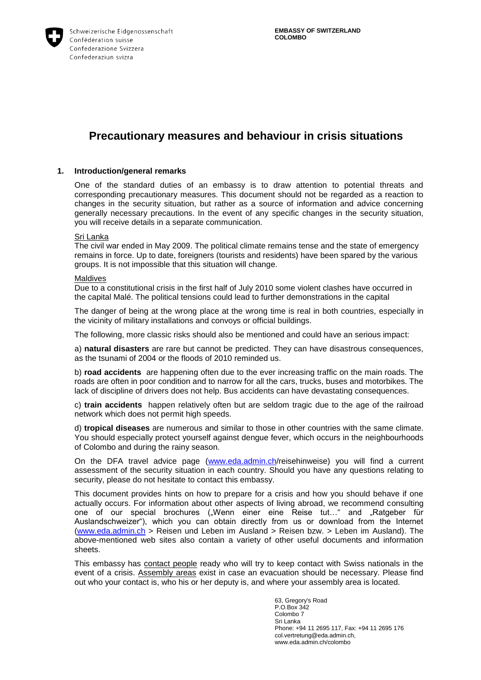

# **Precautionary measures and behaviour in crisis situations**

### **1. Introduction/general remarks**

One of the standard duties of an embassy is to draw attention to potential threats and corresponding precautionary measures. This document should not be regarded as a reaction to changes in the security situation, but rather as a source of information and advice concerning generally necessary precautions. In the event of any specific changes in the security situation, you will receive details in a separate communication.

### Sri Lanka

The civil war ended in May 2009. The political climate remains tense and the state of emergency remains in force. Up to date, foreigners (tourists and residents) have been spared by the various groups. It is not impossible that this situation will change.

#### Maldives

Due to a constitutional crisis in the first half of July 2010 some violent clashes have occurred in the capital Malé. The political tensions could lead to further demonstrations in the capital

The danger of being at the wrong place at the wrong time is real in both countries, especially in the vicinity of military installations and convoys or official buildings.

The following, more classic risks should also be mentioned and could have an serious impact:

a) **natural disasters** are rare but cannot be predicted. They can have disastrous consequences, as the tsunami of 2004 or the floods of 2010 reminded us.

b) **road accidents** are happening often due to the ever increasing traffic on the main roads. The roads are often in poor condition and to narrow for all the cars, trucks, buses and motorbikes. The lack of discipline of drivers does not help. Bus accidents can have devastating consequences.

c) **train accidents** happen relatively often but are seldom tragic due to the age of the railroad network which does not permit high speeds.

d) **tropical diseases** are numerous and similar to those in other countries with the same climate. You should especially protect yourself against dengue fever, which occurs in the neighbourhoods of Colombo and during the rainy season.

On the DFA travel advice page ([www.eda.admin.ch](http://www.eda.admin.ch/)/reisehinweise) you will find a current assessment of the security situation in each country. Should you have any questions relating to security, please do not hesitate to contact this embassy.

This document provides hints on how to prepare for a crisis and how you should behave if one actually occurs. For information about other aspects of living abroad, we recommend consulting one of our special brochures ("Wenn einer eine Reise tut..." and "Ratgeber für Auslandschweizer"), which you can obtain directly from us or download from the Internet ([www.eda.admin.ch](http://www.eda.admin.ch/) > Reisen und Leben im Ausland > Reisen bzw. > Leben im Ausland). The above-mentioned web sites also contain a variety of other useful documents and information sheets.

This embassy has contact people ready who will try to keep contact with Swiss nationals in the event of a crisis. Assembly areas exist in case an evacuation should be necessary. Please find out who your contact is, who his or her deputy is, and where your assembly area is located.

> 63, Gregory's Road P.O.Box 342 Colombo 7 Sri Lanka Phone: +94 11 2695 117, Fax: +94 11 2695 176 col.vertretung@eda.admin.ch, www.eda.admin.ch/colombo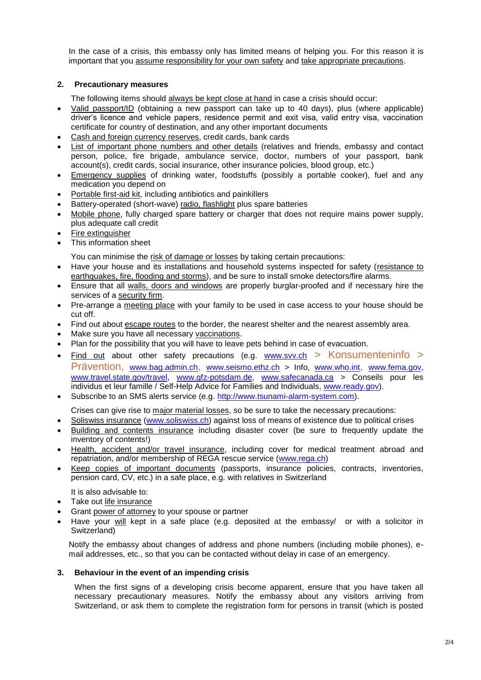In the case of a crisis, this embassy only has limited means of helping you. For this reason it is important that you assume responsibility for your own safety and take appropriate precautions.

# **2. Precautionary measures**

The following items should always be kept close at hand in case a crisis should occur:

- Valid passport/ID (obtaining a new passport can take up to 40 days), plus (where applicable) driver's licence and vehicle papers, residence permit and exit visa, valid entry visa, vaccination certificate for country of destination, and any other important documents
- Cash and foreign currency reserves, credit cards, bank cards
- List of important phone numbers and other details (relatives and friends, embassy and contact person, police, fire brigade, ambulance service, doctor, numbers of your passport, bank account(s), credit cards, social insurance, other insurance policies, blood group, etc.)
- Emergency supplies of drinking water, foodstuffs (possibly a portable cooker), fuel and any medication you depend on
- Portable first-aid kit, including antibiotics and painkillers
- Battery-operated (short-wave) radio, flashlight plus spare batteries
- Mobile phone, fully charged spare battery or charger that does not require mains power supply, plus adequate call credit
- Fire extinguisher
- This information sheet

You can minimise the risk of damage or losses by taking certain precautions:

- Have your house and its installations and household systems inspected for safety (resistance to earthquakes, fire, flooding and storms), and be sure to install smoke detectors/fire alarms.
- Ensure that all walls, doors and windows are properly burglar-proofed and if necessary hire the services of a security firm.
- Pre-arrange a meeting place with your family to be used in case access to your house should be cut off.
- Find out about escape routes to the border, the nearest shelter and the nearest assembly area.
- Make sure you have all necessary vaccinations.
- Plan for the possibility that you will have to leave pets behind in case of evacuation.
- Find out about other safety precautions (e.g. [www.svv.ch](http://www.svv.ch/) > Konsumenteninfo > Prävention, [www.bag.admin.ch](http://www.bag.admin.ch/), [www.seismo.ethz.ch](http://www.seismo.ethz.ch/) > Info, [www.who.int](http://www.who.int/), [www.fema.gov](http://www.fema.gov/), [www.travel.state.gov/travel](http://www.travel.state.gov/travel), [www.gfz-potsdam.de](http://www.gfz-potsdam.de/), [www.safecanada.ca](http://www.safecanada.ca/) > Conseils pour les individus et leur famille / Self-Help Advice for Families and Individuals, [www.ready.gov](http://www.ready.gov/)).
- Subscribe to an SMS alerts service (e.g. [http://www.tsunami-alarm-system.com](http://www.tsunami-alarm-system.com/)).

Crises can give rise to major material losses, so be sure to take the necessary precautions:

- Soliswiss insurance ([www.soliswiss.ch](http://www.soliswiss.ch/)) against loss of means of existence due to political crises
- Building and contents insurance including disaster cover (be sure to frequently update the inventory of contents!)
- Health, accident and/or travel insurance, including cover for medical treatment abroad and repatriation, and/or membership of REGA rescue service ([www.rega.ch](http://www.rega.ch/))
- Keep copies of important documents (passports, insurance policies, contracts, inventories, pension card, CV, etc.) in a safe place, e.g. with relatives in Switzerland

It is also advisable to:

- Take out life insurance
- Grant power of attorney to your spouse or partner
- Have your will kept in a safe place (e.g. deposited at the embassy/ or with a solicitor in Switzerland)

Notify the embassy about changes of address and phone numbers (including mobile phones), email addresses, etc., so that you can be contacted without delay in case of an emergency.

## **3. Behaviour in the event of an impending crisis**

When the first signs of a developing crisis become apparent, ensure that you have taken all necessary precautionary measures. Notify the embassy about any visitors arriving from Switzerland, or ask them to complete the registration form for persons in transit (which is posted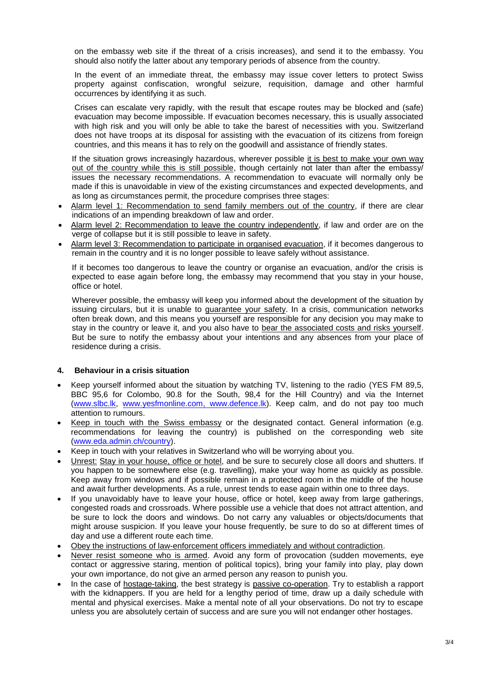on the embassy web site if the threat of a crisis increases), and send it to the embassy. You should also notify the latter about any temporary periods of absence from the country.

In the event of an immediate threat, the embassy may issue cover letters to protect Swiss property against confiscation, wrongful seizure, requisition, damage and other harmful occurrences by identifying it as such.

Crises can escalate very rapidly, with the result that escape routes may be blocked and (safe) evacuation may become impossible. If evacuation becomes necessary, this is usually associated with high risk and you will only be able to take the barest of necessities with you. Switzerland does not have troops at its disposal for assisting with the evacuation of its citizens from foreign countries, and this means it has to rely on the goodwill and assistance of friendly states.

If the situation grows increasingly hazardous, wherever possible it is best to make your own way out of the country while this is still possible, though certainly not later than after the embassy/ issues the necessary recommendations. A recommendation to evacuate will normally only be made if this is unavoidable in view of the existing circumstances and expected developments, and as long as circumstances permit, the procedure comprises three stages:

- Alarm level 1: Recommendation to send family members out of the country, if there are clear indications of an impending breakdown of law and order.
- Alarm level 2: Recommendation to leave the country independently, if law and order are on the verge of collapse but it is still possible to leave in safety.
- Alarm level 3: Recommendation to participate in organised evacuation, if it becomes dangerous to remain in the country and it is no longer possible to leave safely without assistance.

If it becomes too dangerous to leave the country or organise an evacuation, and/or the crisis is expected to ease again before long, the embassy may recommend that you stay in your house, office or hotel.

Wherever possible, the embassy will keep you informed about the development of the situation by issuing circulars, but it is unable to guarantee your safety. In a crisis, communication networks often break down, and this means you yourself are responsible for any decision you may make to stay in the country or leave it, and you also have to bear the associated costs and risks yourself. But be sure to notify the embassy about your intentions and any absences from your place of residence during a crisis.

## **4. Behaviour in a crisis situation**

- Keep yourself informed about the situation by watching TV, listening to the radio (YES FM 89,5, BBC 95,6 for Colombo, 90.8 for the South, 98,4 for the Hill Country) and via the Internet ([www.slbc.lk](http://www.slbc.lk/), [www.yesfmonline.com,](http://www.yesfmonline.com/) www.defence.lk). Keep calm, and do not pay too much attention to rumours.
- Keep in touch with the Swiss embassy or the designated contact. General information (e.g. recommendations for leaving the country) is published on the corresponding web site ([www.eda.admin.ch/country](http://www.eda.admin.ch/country)).
- Keep in touch with your relatives in Switzerland who will be worrying about you.
- Unrest: Stay in your house, office or hotel, and be sure to securely close all doors and shutters. If you happen to be somewhere else (e.g. travelling), make your way home as quickly as possible. Keep away from windows and if possible remain in a protected room in the middle of the house and await further developments. As a rule, unrest tends to ease again within one to three days.
- If you unavoidably have to leave your house, office or hotel, keep away from large gatherings, congested roads and crossroads. Where possible use a vehicle that does not attract attention, and be sure to lock the doors and windows. Do not carry any valuables or objects/documents that might arouse suspicion. If you leave your house frequently, be sure to do so at different times of day and use a different route each time.
- Obey the instructions of law-enforcement officers immediately and without contradiction.
- Never resist someone who is armed. Avoid any form of provocation (sudden movements, eye contact or aggressive staring, mention of political topics), bring your family into play, play down your own importance, do not give an armed person any reason to punish you.
- In the case of hostage-taking, the best strategy is passive co-operation. Try to establish a rapport with the kidnappers. If you are held for a lengthy period of time, draw up a daily schedule with mental and physical exercises. Make a mental note of all your observations. Do not try to escape unless you are absolutely certain of success and are sure you will not endanger other hostages.